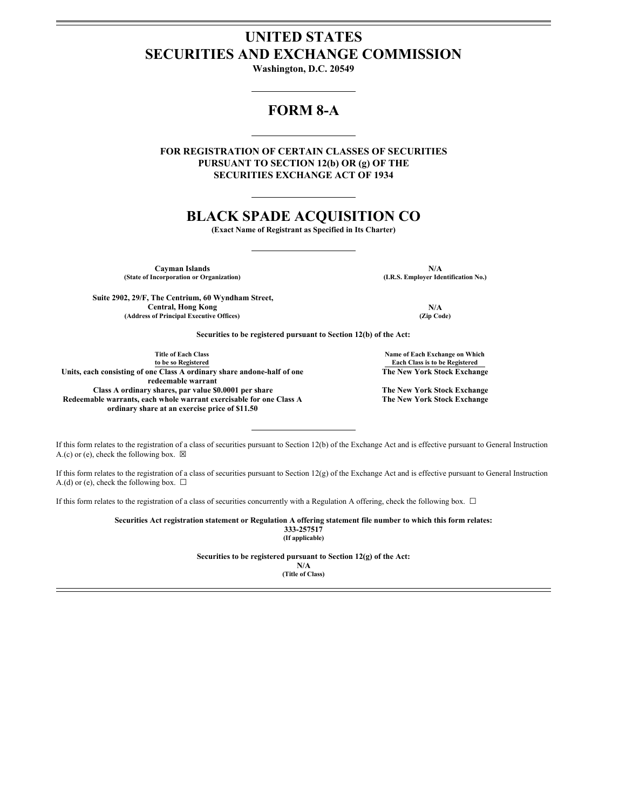## **UNITED STATES SECURITIES AND EXCHANGE COMMISSION**

**Washington, D.C. 20549**

## **FORM 8-A**

**FOR REGISTRATION OF CERTAIN CLASSES OF SECURITIES PURSUANT TO SECTION 12(b) OR (g) OF THE SECURITIES EXCHANGE ACT OF 1934**

# **BLACK SPADE ACQUISITION CO**

**(Exact Name of Registrant as Specified in Its Charter)**

**(State of Incorporation or Organization) (I.R.S. Employer Identification No.)**

Cayman Islands **N/A**<br> **Cayman Islands N/A**<br> **CALLACCES CONSTRANT CONSTRANT (I.R.S. Employer Identification No.)** 

**Suite 2902, 29/F, The Centrium, 60 Wyndham Street, Central, Hong Kong N/A (Address of Principal Executive Offices) (Zip Code)**

**Securities to be registered pursuant to Section 12(b) of the Act:**

**Title of Each Class to be so Registered Units, each consisting of one Class A ordinary share andone-half of one redeemable warrant Class A ordinary shares, par value \$0.0001 per share The New York Stock Exchange Redeemable warrants, each whole warrant exercisable for one Class A ordinary share at an exercise price of \$11.50**

**Name of Each Exchange on Which Each Class is to be Registered The New York Stock Exchange**

**The New York Stock Exchange**

If this form relates to the registration of a class of securities pursuant to Section 12(b) of the Exchange Act and is effective pursuant to General Instruction A.(c) or (e), check the following box.  $\boxtimes$ 

If this form relates to the registration of a class of securities pursuant to Section  $12(g)$  of the Exchange Act and is effective pursuant to General Instruction A.(d) or (e), check the following box.  $\Box$ 

If this form relates to the registration of a class of securities concurrently with a Regulation A offering, check the following box. ☐

**Securities Act registration statement or Regulation A offering statement file number to which this form relates: 333-257517 (If applicable)**

**Securities to be registered pursuant to Section 12(g) of the Act:**

**N/A (Title of Class)**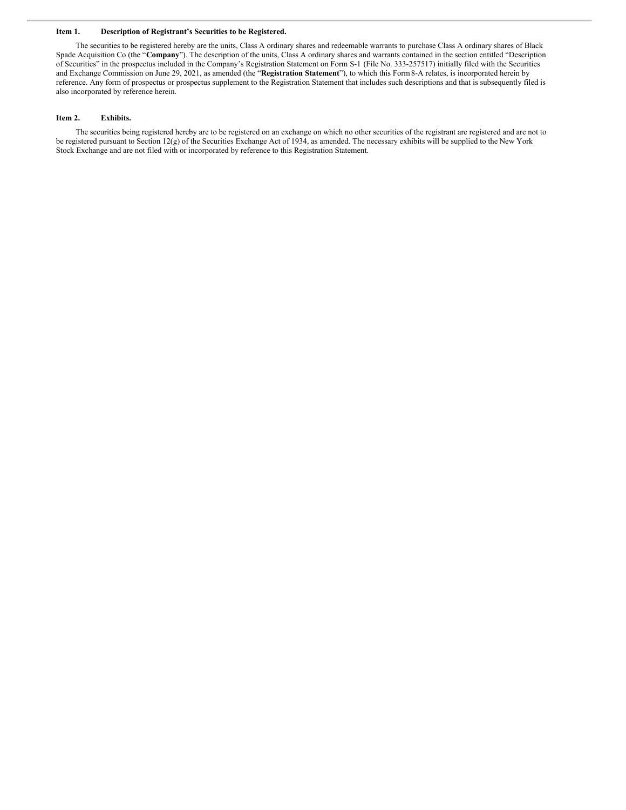#### **Item 1. Description of Registrant's Securities to be Registered.**

The securities to be registered hereby are the units, Class A ordinary shares and redeemable warrants to purchase Class A ordinary shares of Black Spade Acquisition Co (the "**Company**"). The description of the units, Class A ordinary shares and warrants contained in the section entitled "Description of Securities" in the prospectus included in the Company's Registration Statement on Form S-1 (File No. 333-257517) initially filed with the Securities and Exchange Commission on June 29, 2021, as amended (the "**Registration Statement**"), to which this Form8-A relates, is incorporated herein by reference. Any form of prospectus or prospectus supplement to the Registration Statement that includes such descriptions and that is subsequently filed is also incorporated by reference herein.

#### **Item 2. Exhibits.**

The securities being registered hereby are to be registered on an exchange on which no other securities of the registrant are registered and are not to be registered pursuant to Section 12(g) of the Securities Exchange Act of 1934, as amended. The necessary exhibits will be supplied to the New York Stock Exchange and are not filed with or incorporated by reference to this Registration Statement.